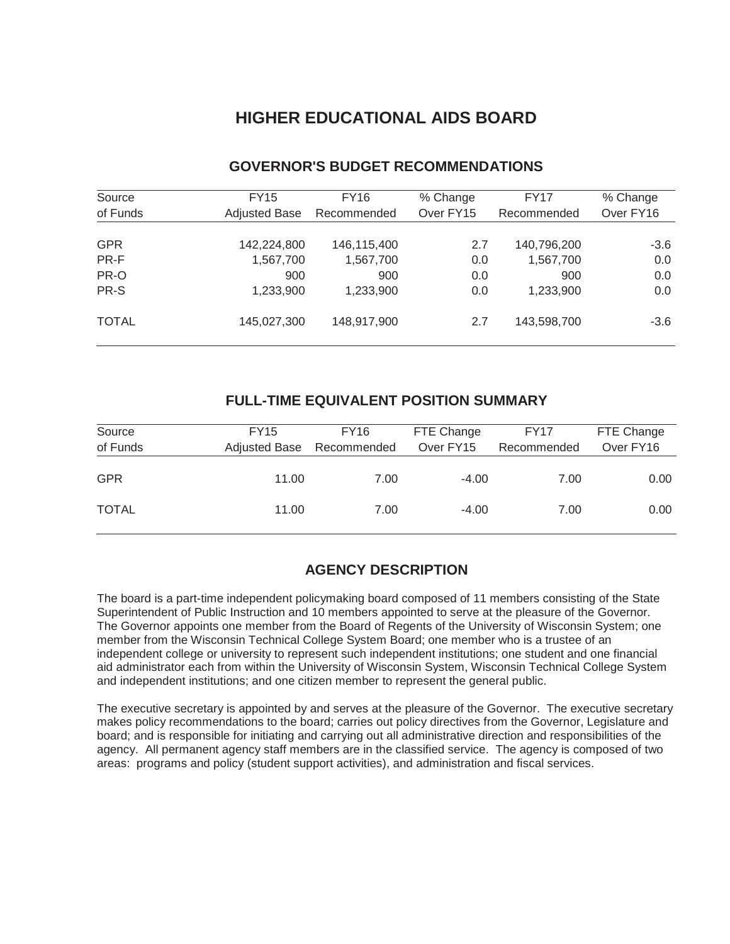# **HIGHER EDUCATIONAL AIDS BOARD**

| Source       | <b>FY15</b>          | FY16        | % Change  | FY17        | % Change  |
|--------------|----------------------|-------------|-----------|-------------|-----------|
| of Funds     | <b>Adjusted Base</b> | Recommended | Over FY15 | Recommended | Over FY16 |
|              |                      |             |           |             |           |
| <b>GPR</b>   | 142,224,800          | 146,115,400 | 2.7       | 140,796,200 | $-3.6$    |
| PR-F         | 1,567,700            | 1,567,700   | 0.0       | 1,567,700   | 0.0       |
| PR-O         | 900                  | 900         | 0.0       | 900         | 0.0       |
| PR-S         | 1,233,900            | 1,233,900   | 0.0       | 1,233,900   | 0.0       |
| <b>TOTAL</b> | 145,027,300          | 148,917,900 | 2.7       | 143,598,700 | $-3.6$    |

# **GOVERNOR'S BUDGET RECOMMENDATIONS**

## **FULL-TIME EQUIVALENT POSITION SUMMARY**

| Source<br>of Funds | <b>FY15</b><br>Adjusted Base | FY16<br>Recommended | FTE Change<br>Over FY15 | <b>FY17</b><br>Recommended | FTE Change<br>Over FY16 |
|--------------------|------------------------------|---------------------|-------------------------|----------------------------|-------------------------|
| <b>GPR</b>         | 11.00                        | 7.00                | $-4.00$                 | 7.00                       | 0.00                    |
| <b>TOTAL</b>       | 11.00                        | 7.00                | $-4.00$                 | 7.00                       | 0.00                    |

# **AGENCY DESCRIPTION**

The board is a part-time independent policymaking board composed of 11 members consisting of the State Superintendent of Public Instruction and 10 members appointed to serve at the pleasure of the Governor. The Governor appoints one member from the Board of Regents of the University of Wisconsin System; one member from the Wisconsin Technical College System Board; one member who is a trustee of an independent college or university to represent such independent institutions; one student and one financial aid administrator each from within the University of Wisconsin System, Wisconsin Technical College System and independent institutions; and one citizen member to represent the general public.

The executive secretary is appointed by and serves at the pleasure of the Governor. The executive secretary makes policy recommendations to the board; carries out policy directives from the Governor, Legislature and board; and is responsible for initiating and carrying out all administrative direction and responsibilities of the agency. All permanent agency staff members are in the classified service. The agency is composed of two areas: programs and policy (student support activities), and administration and fiscal services.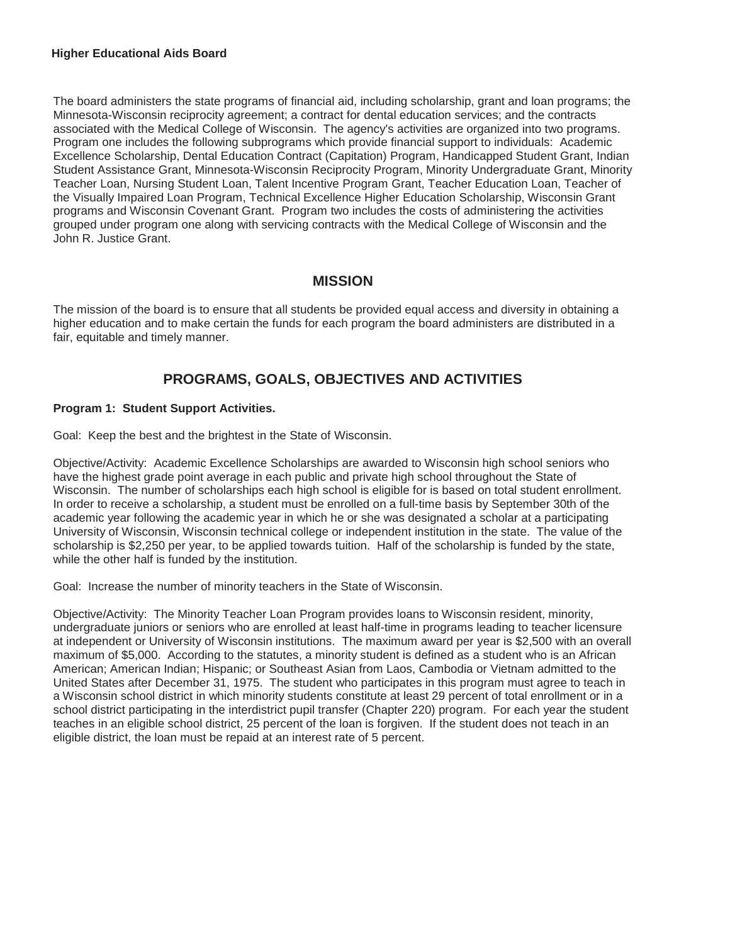#### **Higher Educational Aids Board**

The board administers the state programs of financial aid, including scholarship, grant and loan programs; the Minnesota-Wisconsin reciprocity agreement; a contract for dental education services; and the contracts associated with the Medical College of Wisconsin. The agency's activities are organized into two programs. Program one includes the following subprograms which provide financial support to individuals: Academic Excellence Scholarship, Dental Education Contract (Capitation) Program, Handicapped Student Grant, Indian Student Assistance Grant, Minnesota-Wisconsin Reciprocity Program, Minority Undergraduate Grant, Minority Teacher Loan, Nursing Student Loan, Talent Incentive Program Grant, Teacher Education Loan, Teacher of the Visually Impaired Loan Program, Technical Excellence Higher Education Scholarship, Wisconsin Grant programs and Wisconsin Covenant Grant. Program two includes the costs of administering the activities grouped under program one along with servicing contracts with the Medical College of Wisconsin and the John R. Justice Grant.

## **MISSION**

The mission of the board is to ensure that all students be provided equal access and diversity in obtaining a higher education and to make certain the funds for each program the board administers are distributed in a fair, equitable and timely manner.

# **PROGRAMS, GOALS, OBJECTIVES AND ACTIVITIES**

#### **Program 1: Student Support Activities.**

Goal: Keep the best and the brightest in the State of Wisconsin.

Objective/Activity: Academic Excellence Scholarships are awarded to Wisconsin high school seniors who have the highest grade point average in each public and private high school throughout the State of Wisconsin. The number of scholarships each high school is eligible for is based on total student enrollment. In order to receive a scholarship, a student must be enrolled on a full-time basis by September 30th of the academic year following the academic year in which he or she was designated a scholar at a participating University of Wisconsin, Wisconsin technical college or independent institution in the state. The value of the scholarship is \$2,250 per year, to be applied towards tuition. Half of the scholarship is funded by the state, while the other half is funded by the institution.

Goal: Increase the number of minority teachers in the State of Wisconsin.

Objective/Activity: The Minority Teacher Loan Program provides loans to Wisconsin resident, minority, undergraduate juniors or seniors who are enrolled at least half-time in programs leading to teacher licensure at independent or University of Wisconsin institutions. The maximum award per year is \$2,500 with an overall maximum of \$5,000. According to the statutes, a minority student is defined as a student who is an African American; American Indian; Hispanic; or Southeast Asian from Laos, Cambodia or Vietnam admitted to the United States after December 31, 1975. The student who participates in this program must agree to teach in a Wisconsin school district in which minority students constitute at least 29 percent of total enrollment or in a school district participating in the interdistrict pupil transfer (Chapter 220) program. For each year the student teaches in an eligible school district, 25 percent of the loan is forgiven. If the student does not teach in an eligible district, the loan must be repaid at an interest rate of 5 percent.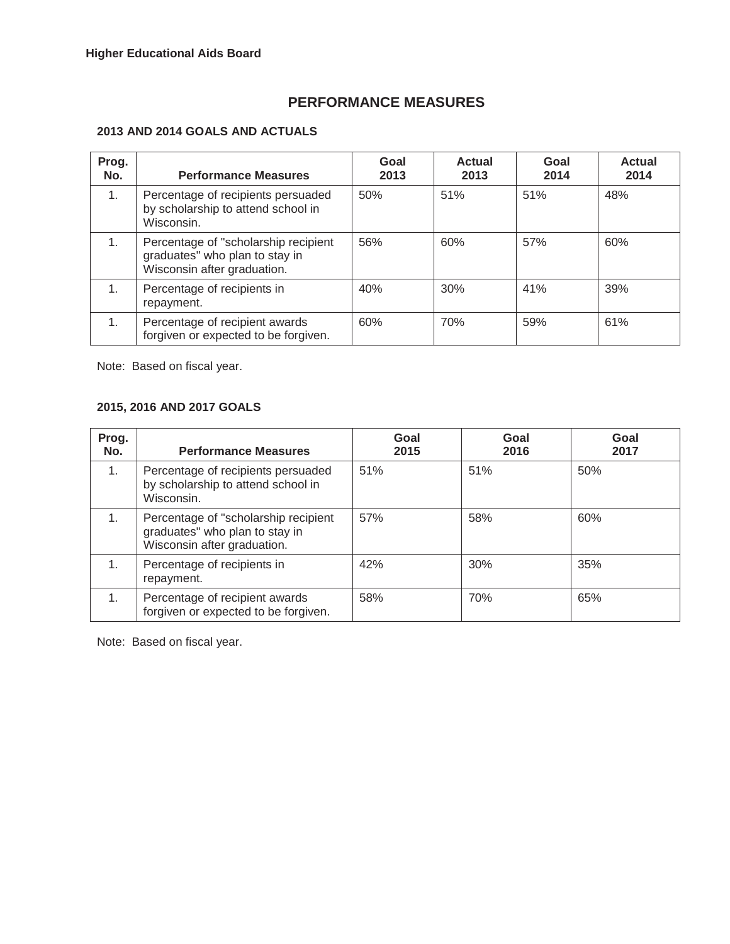## **PERFORMANCE MEASURES**

### **2013 AND 2014 GOALS AND ACTUALS**

| Prog.<br>No.   | <b>Performance Measures</b>                                                                           | Goal<br>2013 | <b>Actual</b><br>2013 | Goal<br>2014 | <b>Actual</b><br>2014 |
|----------------|-------------------------------------------------------------------------------------------------------|--------------|-----------------------|--------------|-----------------------|
| 1.             | Percentage of recipients persuaded<br>by scholarship to attend school in<br>Wisconsin.                | 50%          | 51%                   | 51%          | 48%                   |
| 1.             | Percentage of "scholarship recipient<br>graduates" who plan to stay in<br>Wisconsin after graduation. | 56%          | 60%                   | 57%          | 60%                   |
| 1.             | Percentage of recipients in<br>repayment.                                                             | 40%          | 30%                   | 41%          | 39%                   |
| 1 <sub>1</sub> | Percentage of recipient awards<br>forgiven or expected to be forgiven.                                | 60%          | 70%                   | 59%          | 61%                   |

Note: Based on fiscal year.

#### **2015, 2016 AND 2017 GOALS**

| Prog.<br>No. | <b>Performance Measures</b>                                                                            | Goal<br>2015 | Goal<br>2016 | Goal<br>2017 |
|--------------|--------------------------------------------------------------------------------------------------------|--------------|--------------|--------------|
| 1.           | Percentage of recipients persuaded<br>by scholarship to attend school in<br>Wisconsin.                 | 51%          | 51%          | 50%          |
| 1.           | Percentage of "scholarship recipient"<br>graduates" who plan to stay in<br>Wisconsin after graduation. | 57%          | 58%          | 60%          |
|              | Percentage of recipients in<br>repayment.                                                              | 42%          | 30%          | 35%          |
| 1.           | Percentage of recipient awards<br>forgiven or expected to be forgiven.                                 | 58%          | 70%          | 65%          |

Note: Based on fiscal year.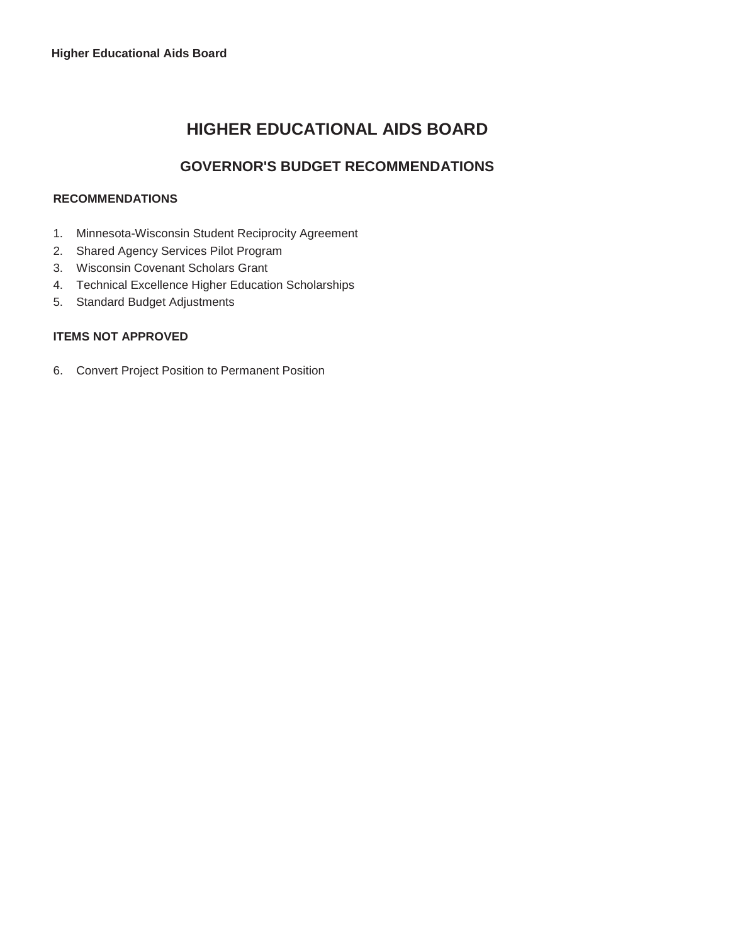# **HIGHER EDUCATIONAL AIDS BOARD**

# **GOVERNOR'S BUDGET RECOMMENDATIONS**

#### **RECOMMENDATIONS**

- 1. Minnesota-Wisconsin Student Reciprocity Agreement
- 2. Shared Agency Services Pilot Program
- 3. Wisconsin Covenant Scholars Grant
- 4. Technical Excellence Higher Education Scholarships
- 5. Standard Budget Adjustments

#### **ITEMS NOT APPROVED**

6. Convert Project Position to Permanent Position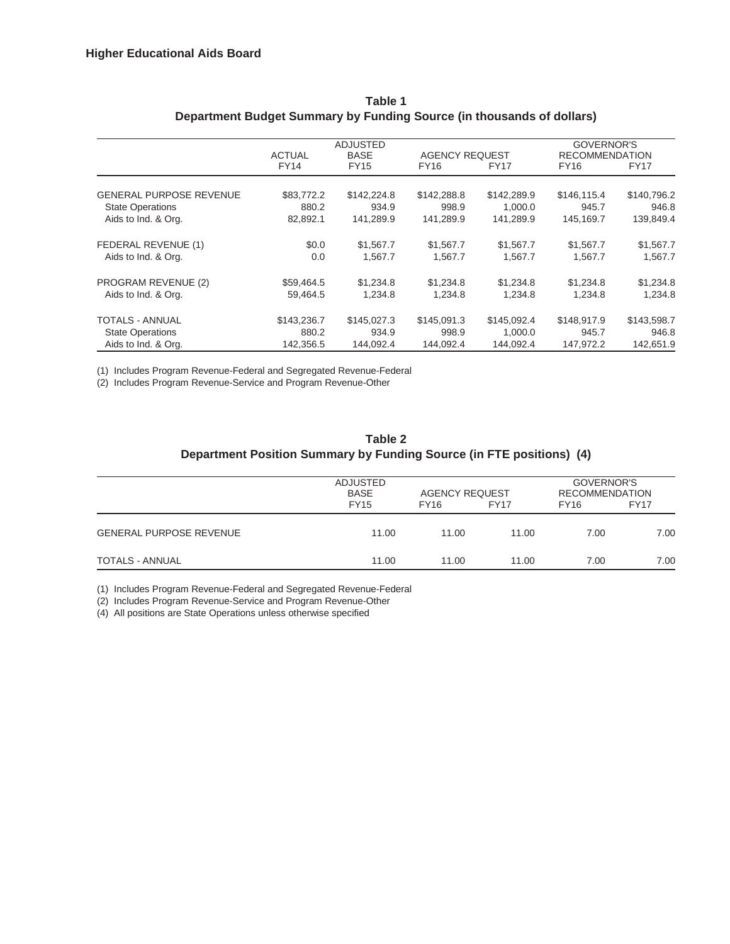|                                |               | <b>ADJUSTED</b> |                       |             | GOVERNOR'S            |             |
|--------------------------------|---------------|-----------------|-----------------------|-------------|-----------------------|-------------|
|                                | <b>ACTUAL</b> | <b>BASE</b>     | <b>AGENCY REQUEST</b> |             | <b>RECOMMENDATION</b> |             |
|                                | FY14          | FY15            | FY16                  | <b>FY17</b> | FY16                  | <b>FY17</b> |
|                                |               |                 |                       |             |                       |             |
| <b>GENERAL PURPOSE REVENUE</b> | \$83,772.2    | \$142,224.8     | \$142,288.8           | \$142,289.9 | \$146,115.4           | \$140,796.2 |
| <b>State Operations</b>        | 880.2         | 934.9           | 998.9                 | 1.000.0     | 945.7                 | 946.8       |
| Aids to Ind. & Org.            | 82,892.1      | 141,289.9       | 141,289.9             | 141,289.9   | 145,169.7             | 139,849.4   |
| FEDERAL REVENUE (1)            | \$0.0         | \$1,567.7       | \$1,567.7             | \$1,567.7   | \$1,567.7             | \$1,567.7   |
| Aids to Ind. & Org.            | 0.0           | 1,567.7         | 1,567.7               | 1,567.7     | 1,567.7               | 1,567.7     |
| PROGRAM REVENUE (2)            | \$59,464.5    | \$1,234.8       | \$1,234.8             | \$1,234.8   | \$1,234.8             | \$1,234.8   |
| Aids to Ind. & Org.            | 59,464.5      | 1,234.8         | 1,234.8               | 1,234.8     | 1,234.8               | 1,234.8     |
| <b>TOTALS - ANNUAL</b>         | \$143,236.7   | \$145,027.3     | \$145,091.3           | \$145,092.4 | \$148,917.9           | \$143,598.7 |
| <b>State Operations</b>        | 880.2         | 934.9           | 998.9                 | 1,000.0     | 945.7                 | 946.8       |
| Aids to Ind. & Org.            | 142,356.5     | 144,092.4       | 144,092.4             | 144,092.4   | 147,972.2             | 142,651.9   |

#### **Table 1 Department Budget Summary by Funding Source (in thousands of dollars)**

(1) Includes Program Revenue-Federal and Segregated Revenue-Federal

(2) Includes Program Revenue-Service and Program Revenue-Other

**Table 2 Department Position Summary by Funding Source (in FTE positions) (4)**

|                                | ADJUSTED<br><b>BASE</b><br><b>FY15</b> | <b>AGENCY REQUEST</b><br><b>FY16</b> | <b>FY17</b> | GOVERNOR'S<br><b>RECOMMENDATION</b><br><b>FY17</b><br>FY <sub>16</sub> |      |
|--------------------------------|----------------------------------------|--------------------------------------|-------------|------------------------------------------------------------------------|------|
| <b>GENERAL PURPOSE REVENUE</b> | 11.00                                  | 11.00                                | 11.00       | 7.00                                                                   | 7.00 |
| <b>TOTALS - ANNUAL</b>         | 11.00                                  | 11.00                                | 11.00       | 7.00                                                                   | 7.00 |

(1) Includes Program Revenue-Federal and Segregated Revenue-Federal

(2) Includes Program Revenue-Service and Program Revenue-Other

(4) All positions are State Operations unless otherwise specified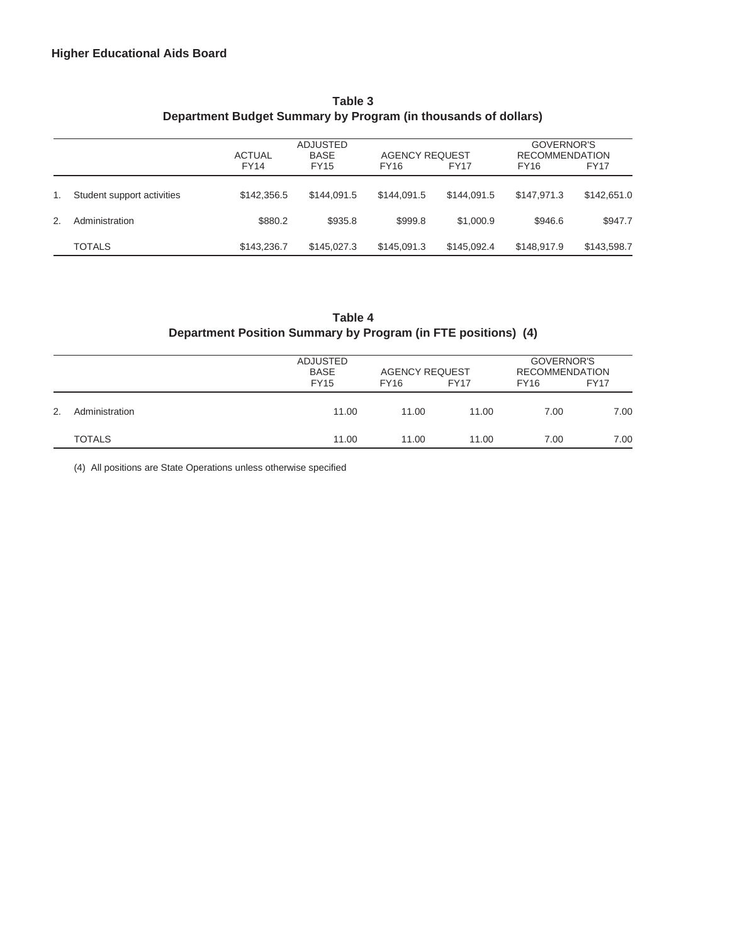|    |                            | <b>ACTUAL</b> | <b>ADJUSTED</b><br><b>BASE</b> | <b>AGENCY REQUEST</b> |             | GOVERNOR'S<br><b>RECOMMENDATION</b> |             |  |  |
|----|----------------------------|---------------|--------------------------------|-----------------------|-------------|-------------------------------------|-------------|--|--|
|    |                            | FY14          | <b>FY15</b>                    | FY <sub>16</sub>      | <b>FY17</b> | <b>FY16</b>                         | FY17        |  |  |
| 1. | Student support activities | \$142,356.5   | \$144,091.5                    | \$144.091.5           | \$144,091.5 | \$147.971.3                         | \$142,651.0 |  |  |
| 2. | Administration             | \$880.2       | \$935.8                        | \$999.8               | \$1,000.9   | \$946.6                             | \$947.7     |  |  |
|    | <b>TOTALS</b>              | \$143,236.7   | \$145,027.3                    | \$145,091.3           | \$145,092.4 | \$148,917.9                         | \$143,598.7 |  |  |

### **Table 3 Department Budget Summary by Program (in thousands of dollars)**

## **Table 4 Department Position Summary by Program (in FTE positions) (4)**

|    |                | ADJUSTED<br><b>BASE</b><br><b>FY15</b> | <b>AGENCY REQUEST</b><br><b>FY16</b> | <b>FY17</b> | GOVERNOR'S<br><b>RECOMMENDATION</b><br><b>FY16</b> | <b>FY17</b> |  |
|----|----------------|----------------------------------------|--------------------------------------|-------------|----------------------------------------------------|-------------|--|
| 2. | Administration | 11.00                                  | 11.00                                | 11.00       | 7.00                                               | 7.00        |  |
|    | <b>TOTALS</b>  | 11.00                                  | 11.00                                | 11.00       | 7.00                                               | 7.00        |  |

(4) All positions are State Operations unless otherwise specified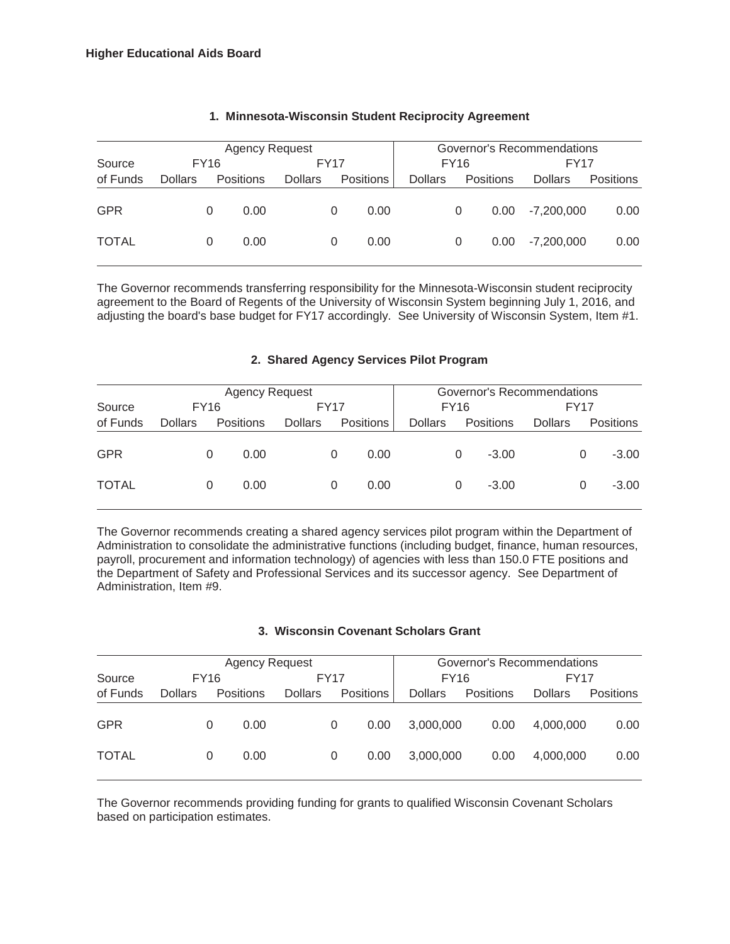| <b>Agency Request</b> |                |             |                  |                |      |                  |                | Governor's Recommendations |                  |                |                  |  |  |
|-----------------------|----------------|-------------|------------------|----------------|------|------------------|----------------|----------------------------|------------------|----------------|------------------|--|--|
| Source                |                | <b>FY16</b> |                  |                | FY17 |                  |                | <b>FY16</b>                |                  | FY17           |                  |  |  |
| of Funds              | <b>Dollars</b> |             | <b>Positions</b> | <b>Dollars</b> |      | <b>Positions</b> | <b>Dollars</b> |                            | <b>Positions</b> | <b>Dollars</b> | <b>Positions</b> |  |  |
| <b>GPR</b>            |                | 0           | 0.00             |                | 0    | 0.00             |                | 0                          | 0.00             | $-7.200.000$   | 0.00             |  |  |
| <b>TOTAL</b>          |                | 0           | 0.00             |                | 0    | 0.00             |                | 0                          | 0.00             | $-7.200.000$   | 0.00             |  |  |

#### **1. Minnesota-Wisconsin Student Reciprocity Agreement**

The Governor recommends transferring responsibility for the Minnesota-Wisconsin student reciprocity agreement to the Board of Regents of the University of Wisconsin System beginning July 1, 2016, and adjusting the board's base budget for FY17 accordingly. See University of Wisconsin System, Item #1.

#### **2. Shared Agency Services Pilot Program**

|              |                | <b>Agency Request</b> |                  |                | Governor's Recommendations |           |                |             |           |                |             |           |
|--------------|----------------|-----------------------|------------------|----------------|----------------------------|-----------|----------------|-------------|-----------|----------------|-------------|-----------|
| Source       |                | <b>FY16</b>           |                  |                | <b>FY17</b>                |           |                | <b>FY16</b> |           |                | <b>FY17</b> |           |
| of Funds     | <b>Dollars</b> |                       | <b>Positions</b> | <b>Dollars</b> |                            | Positions | <b>Dollars</b> |             | Positions | <b>Dollars</b> |             | Positions |
| <b>GPR</b>   |                | 0                     | 0.00             |                | 0                          | 0.00      |                | 0           | $-3.00$   |                |             | $-3.00$   |
| <b>TOTAL</b> |                | 0                     | 0.00             |                | 0                          | 0.00      |                | 0           | $-3.00$   |                | 0           | $-3.00$   |

The Governor recommends creating a shared agency services pilot program within the Department of Administration to consolidate the administrative functions (including budget, finance, human resources, payroll, procurement and information technology) of agencies with less than 150.0 FTE positions and the Department of Safety and Professional Services and its successor agency. See Department of Administration, Item #9.

#### **3. Wisconsin Covenant Scholars Grant**

|              |                |             | <b>Agency Request</b> |                |             | Governor's Recommendations |                |                  |                |                  |
|--------------|----------------|-------------|-----------------------|----------------|-------------|----------------------------|----------------|------------------|----------------|------------------|
| Source       |                | <b>FY16</b> |                       |                | <b>FY17</b> |                            | <b>FY16</b>    |                  | <b>FY17</b>    |                  |
| of Funds     | <b>Dollars</b> |             | <b>Positions</b>      | <b>Dollars</b> |             | Positions                  | <b>Dollars</b> | <b>Positions</b> | <b>Dollars</b> | <b>Positions</b> |
| <b>GPR</b>   |                | 0           | 0.00                  |                | 0           | 0.00                       | 3.000.000      | 0.00             | 4.000.000      | 0.00             |
| <b>TOTAL</b> |                | 0           | 0.00 <sub>1</sub>     |                | 0           | 0.00                       | 3.000.000      | 0.00             | 4.000.000      | 0.00             |

The Governor recommends providing funding for grants to qualified Wisconsin Covenant Scholars based on participation estimates.